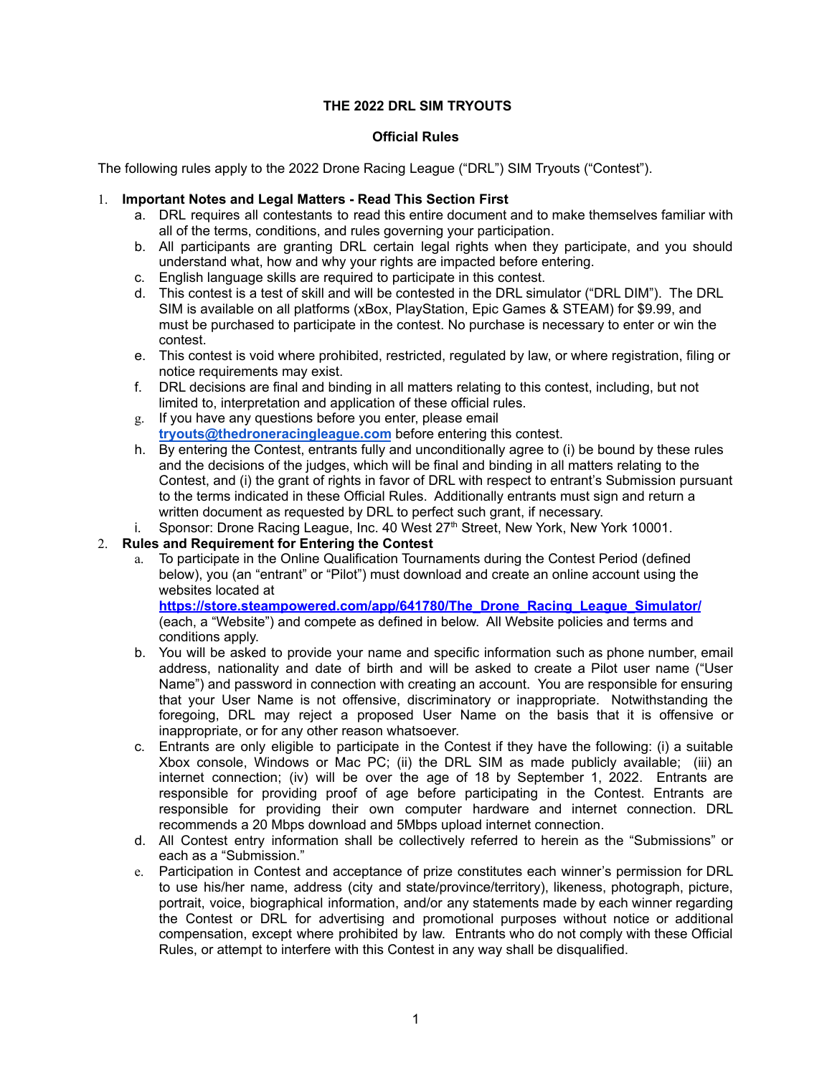# **THE 2022 DRL SIM TRYOUTS**

# **Official Rules**

The following rules apply to the 2022 Drone Racing League ("DRL") SIM Tryouts ("Contest").

#### 1. **Important Notes and Legal Matters - Read This Section First**

- a. DRL requires all contestants to read this entire document and to make themselves familiar with all of the terms, conditions, and rules governing your participation.
- b. All participants are granting DRL certain legal rights when they participate, and you should understand what, how and why your rights are impacted before entering.
- c. English language skills are required to participate in this contest.
- d. This contest is a test of skill and will be contested in the DRL simulator ("DRL DIM"). The DRL SIM is available on all platforms (xBox, PlayStation, Epic Games & STEAM) for \$9.99, and must be purchased to participate in the contest. No purchase is necessary to enter or win the contest.
- e. This contest is void where prohibited, restricted, regulated by law, or where registration, filing or notice requirements may exist.
- f. DRL decisions are final and binding in all matters relating to this contest, including, but not limited to, interpretation and application of these official rules.
- g. If you have any questions before you enter, please email **[tryouts@thedroneracingleague.com](mailto:tryouts@thedroneracingleague.com)** before entering this contest.
- h. By entering the Contest, entrants fully and unconditionally agree to (i) be bound by these rules and the decisions of the judges, which will be final and binding in all matters relating to the Contest, and (i) the grant of rights in favor of DRL with respect to entrant's Submission pursuant to the terms indicated in these Official Rules. Additionally entrants must sign and return a written document as requested by DRL to perfect such grant, if necessary.
- i. Sponsor: Drone Racing League, Inc. 40 West 27<sup>th</sup> Street, New York, New York 10001.

### 2. **Rules and Requirement for Entering the Contest**

a. To participate in the Online Qualification Tournaments during the Contest Period (defined below), you (an "entrant" or "Pilot") must download and create an online account using the websites located at

**[https://store.steampowered.com/app/641780/The\\_Drone\\_Racing\\_League\\_Simulator/](https://store.steampowered.com/app/641780/The_Drone_Racing_League_Simulator/)** (each, a "Website") and compete as defined in below. All Website policies and terms and conditions apply.

- b. You will be asked to provide your name and specific information such as phone number, email address, nationality and date of birth and will be asked to create a Pilot user name ("User Name") and password in connection with creating an account. You are responsible for ensuring that your User Name is not offensive, discriminatory or inappropriate. Notwithstanding the foregoing, DRL may reject a proposed User Name on the basis that it is offensive or inappropriate, or for any other reason whatsoever.
- c. Entrants are only eligible to participate in the Contest if they have the following: (i) a suitable Xbox console, Windows or Mac PC; (ii) the DRL SIM as made publicly available; (iii) an internet connection; (iv) will be over the age of 18 by September 1, 2022. Entrants are responsible for providing proof of age before participating in the Contest. Entrants are responsible for providing their own computer hardware and internet connection. DRL recommends a 20 Mbps download and 5Mbps upload internet connection.
- d. All Contest entry information shall be collectively referred to herein as the "Submissions" or each as a "Submission."
- e. Participation in Contest and acceptance of prize constitutes each winner's permission for DRL to use his/her name, address (city and state/province/territory), likeness, photograph, picture, portrait, voice, biographical information, and/or any statements made by each winner regarding the Contest or DRL for advertising and promotional purposes without notice or additional compensation, except where prohibited by law. Entrants who do not comply with these Official Rules, or attempt to interfere with this Contest in any way shall be disqualified.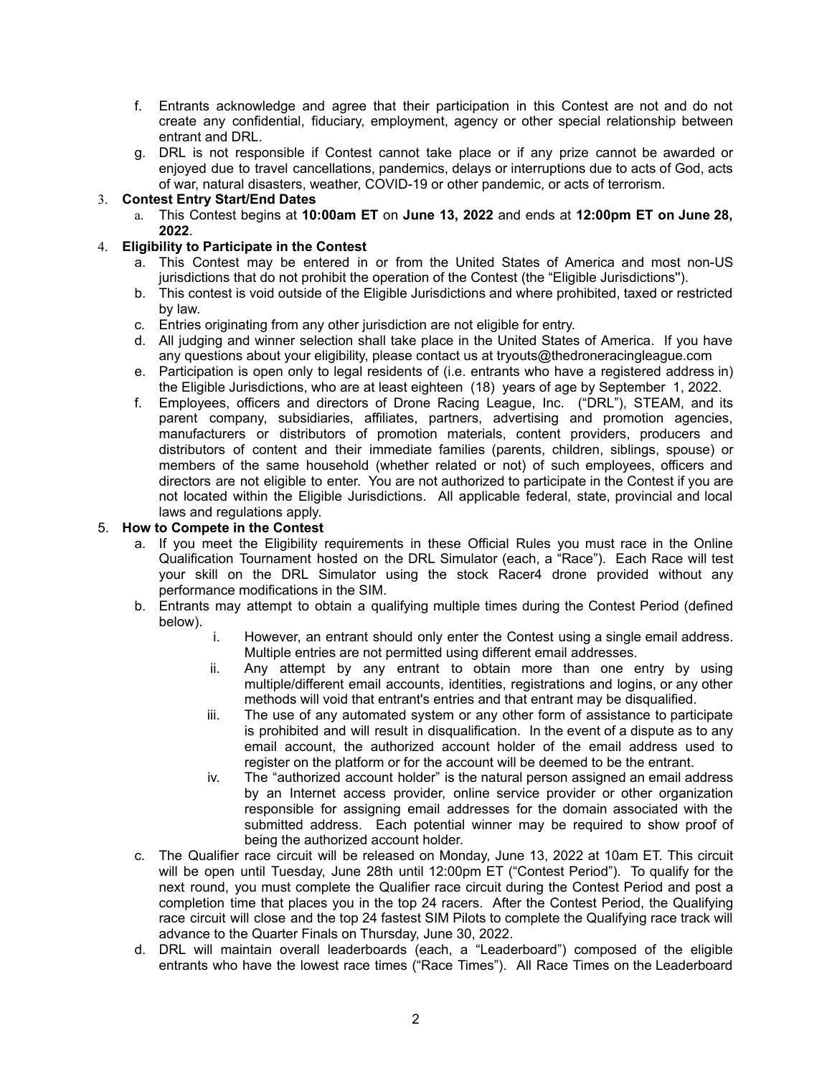- f. Entrants acknowledge and agree that their participation in this Contest are not and do not create any confidential, fiduciary, employment, agency or other special relationship between entrant and DRL.
- g. DRL is not responsible if Contest cannot take place or if any prize cannot be awarded or enjoyed due to travel cancellations, pandemics, delays or interruptions due to acts of God, acts of war, natural disasters, weather, COVID-19 or other pandemic, or acts of terrorism.

### 3. **Contest Entry Start/End Dates**

a. This Contest begins at **10:00am ET** on **June 13, 2022** and ends at **12:00pm ET on June 28, 2022**.

# 4. **Eligibility to Participate in the Contest**

- a. This Contest may be entered in or from the United States of America and most non-US jurisdictions that do not prohibit the operation of the Contest (the "Eligible Jurisdictions'').
- b. This contest is void outside of the Eligible Jurisdictions and where prohibited, taxed or restricted by law.
- c. Entries originating from any other jurisdiction are not eligible for entry.
- d. All judging and winner selection shall take place in the United States of America. If you have any questions about your eligibility, please contact us at tryouts@thedroneracingleague.com
- e. Participation is open only to legal residents of (i.e. entrants who have a registered address in) the Eligible Jurisdictions, who are at least eighteen (18) years of age by September 1, 2022.
- f. Employees, officers and directors of Drone Racing League, Inc. ("DRL"), STEAM, and its parent company, subsidiaries, affiliates, partners, advertising and promotion agencies, manufacturers or distributors of promotion materials, content providers, producers and distributors of content and their immediate families (parents, children, siblings, spouse) or members of the same household (whether related or not) of such employees, officers and directors are not eligible to enter. You are not authorized to participate in the Contest if you are not located within the Eligible Jurisdictions. All applicable federal, state, provincial and local laws and regulations apply.

### 5. **How to Compete in the Contest**

- a. If you meet the Eligibility requirements in these Official Rules you must race in the Online Qualification Tournament hosted on the DRL Simulator (each, a "Race"). Each Race will test your skill on the DRL Simulator using the stock Racer4 drone provided without any performance modifications in the SIM.
- b. Entrants may attempt to obtain a qualifying multiple times during the Contest Period (defined below).
	- i. However, an entrant should only enter the Contest using a single email address. Multiple entries are not permitted using different email addresses.
	- ii. Any attempt by any entrant to obtain more than one entry by using multiple/different email accounts, identities, registrations and logins, or any other methods will void that entrant's entries and that entrant may be disqualified.
	- iii. The use of any automated system or any other form of assistance to participate is prohibited and will result in disqualification. In the event of a dispute as to any email account, the authorized account holder of the email address used to register on the platform or for the account will be deemed to be the entrant.
	- iv. The "authorized account holder" is the natural person assigned an email address by an Internet access provider, online service provider or other organization responsible for assigning email addresses for the domain associated with the submitted address. Each potential winner may be required to show proof of being the authorized account holder.
- c. The Qualifier race circuit will be released on Monday, June 13, 2022 at 10am ET. This circuit will be open until Tuesday, June 28th until 12:00pm ET ("Contest Period"). To qualify for the next round, you must complete the Qualifier race circuit during the Contest Period and post a completion time that places you in the top 24 racers. After the Contest Period, the Qualifying race circuit will close and the top 24 fastest SIM Pilots to complete the Qualifying race track will advance to the Quarter Finals on Thursday, June 30, 2022.
- d. DRL will maintain overall leaderboards (each, a "Leaderboard") composed of the eligible entrants who have the lowest race times ("Race Times"). All Race Times on the Leaderboard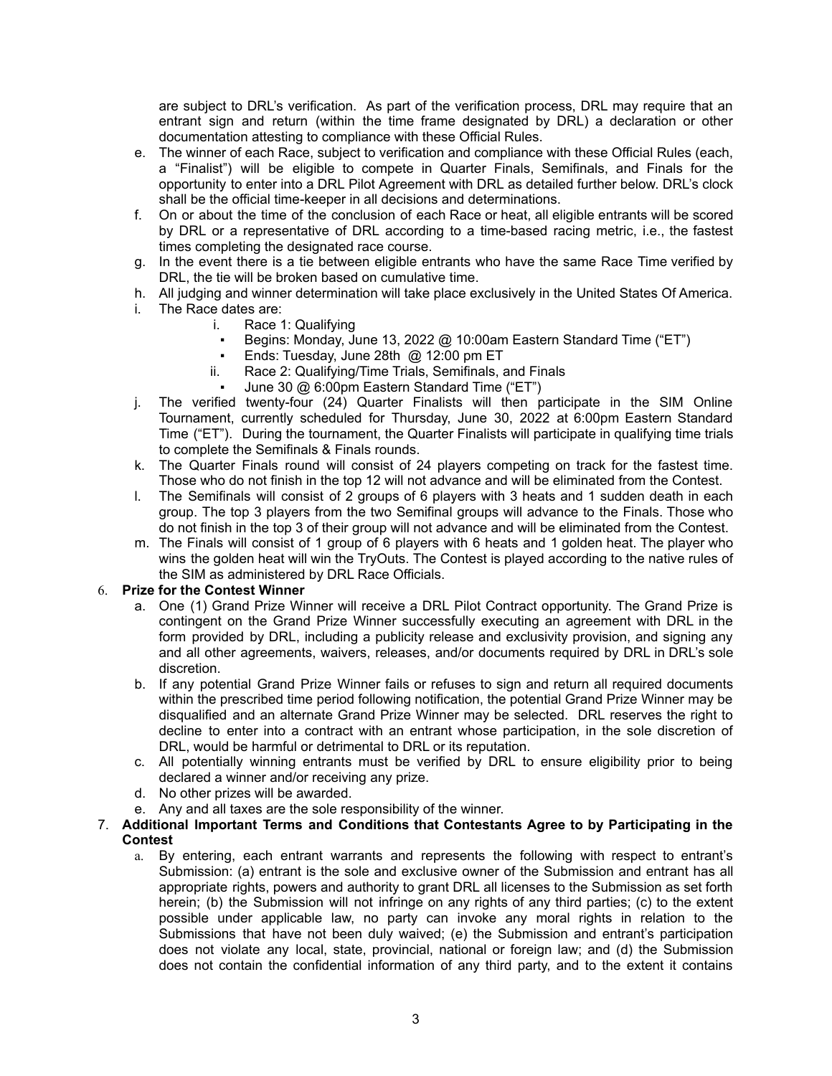are subject to DRL's verification. As part of the verification process, DRL may require that an entrant sign and return (within the time frame designated by DRL) a declaration or other documentation attesting to compliance with these Official Rules.

- e. The winner of each Race, subject to verification and compliance with these Official Rules (each, a "Finalist") will be eligible to compete in Quarter Finals, Semifinals, and Finals for the opportunity to enter into a DRL Pilot Agreement with DRL as detailed further below. DRL's clock shall be the official time-keeper in all decisions and determinations.
- f. On or about the time of the conclusion of each Race or heat, all eligible entrants will be scored by DRL or a representative of DRL according to a time-based racing metric, i.e., the fastest times completing the designated race course.
- g. In the event there is a tie between eligible entrants who have the same Race Time verified by DRL, the tie will be broken based on cumulative time.
- h. All judging and winner determination will take place exclusively in the United States Of America.
- i. The Race dates are:
	- i. Race 1: Qualifying
	- Begins: Monday, June 13, 2022 @ 10:00am Eastern Standard Time ("ET")
	- Ends: Tuesday, June 28th  $\omega$  12:00 pm ET
	- ii. Race 2: Qualifying/Time Trials, Semifinals, and Finals
	- June 30 @ 6:00pm Eastern Standard Time ("ET")
- j. The verified twenty-four (24) Quarter Finalists will then participate in the SIM Online Tournament, currently scheduled for Thursday, June 30, 2022 at 6:00pm Eastern Standard Time ("ET"). During the tournament, the Quarter Finalists will participate in qualifying time trials to complete the Semifinals & Finals rounds.
- k. The Quarter Finals round will consist of 24 players competing on track for the fastest time. Those who do not finish in the top 12 will not advance and will be eliminated from the Contest.
- l. The Semifinals will consist of 2 groups of 6 players with 3 heats and 1 sudden death in each group. The top 3 players from the two Semifinal groups will advance to the Finals. Those who do not finish in the top 3 of their group will not advance and will be eliminated from the Contest.
- m. The Finals will consist of 1 group of 6 players with 6 heats and 1 golden heat. The player who wins the golden heat will win the TryOuts. The Contest is played according to the native rules of the SIM as administered by DRL Race Officials.

# 6. **Prize for the Contest Winner**

- a. One (1) Grand Prize Winner will receive a DRL Pilot Contract opportunity. The Grand Prize is contingent on the Grand Prize Winner successfully executing an agreement with DRL in the form provided by DRL, including a publicity release and exclusivity provision, and signing any and all other agreements, waivers, releases, and/or documents required by DRL in DRL's sole discretion.
- b. If any potential Grand Prize Winner fails or refuses to sign and return all required documents within the prescribed time period following notification, the potential Grand Prize Winner may be disqualified and an alternate Grand Prize Winner may be selected. DRL reserves the right to decline to enter into a contract with an entrant whose participation, in the sole discretion of DRL, would be harmful or detrimental to DRL or its reputation.
- c. All potentially winning entrants must be verified by DRL to ensure eligibility prior to being declared a winner and/or receiving any prize.
- d. No other prizes will be awarded.
- e. Any and all taxes are the sole responsibility of the winner.

### 7. **Additional Important Terms and Conditions that Contestants Agree to by Participating in the Contest**

a. By entering, each entrant warrants and represents the following with respect to entrant's Submission: (a) entrant is the sole and exclusive owner of the Submission and entrant has all appropriate rights, powers and authority to grant DRL all licenses to the Submission as set forth herein; (b) the Submission will not infringe on any rights of any third parties; (c) to the extent possible under applicable law, no party can invoke any moral rights in relation to the Submissions that have not been duly waived; (e) the Submission and entrant's participation does not violate any local, state, provincial, national or foreign law; and (d) the Submission does not contain the confidential information of any third party, and to the extent it contains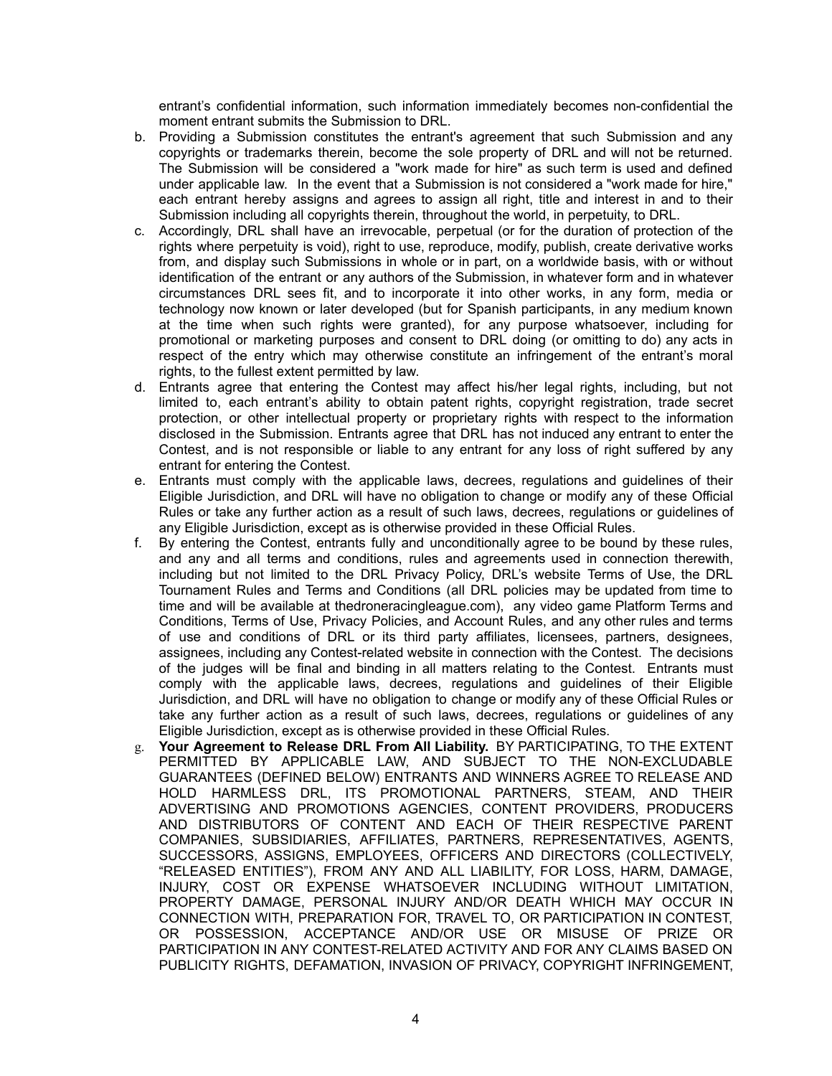entrant's confidential information, such information immediately becomes non-confidential the moment entrant submits the Submission to DRL.

- b. Providing a Submission constitutes the entrant's agreement that such Submission and any copyrights or trademarks therein, become the sole property of DRL and will not be returned. The Submission will be considered a "work made for hire" as such term is used and defined under applicable law. In the event that a Submission is not considered a "work made for hire," each entrant hereby assigns and agrees to assign all right, title and interest in and to their Submission including all copyrights therein, throughout the world, in perpetuity, to DRL.
- c. Accordingly, DRL shall have an irrevocable, perpetual (or for the duration of protection of the rights where perpetuity is void), right to use, reproduce, modify, publish, create derivative works from, and display such Submissions in whole or in part, on a worldwide basis, with or without identification of the entrant or any authors of the Submission, in whatever form and in whatever circumstances DRL sees fit, and to incorporate it into other works, in any form, media or technology now known or later developed (but for Spanish participants, in any medium known at the time when such rights were granted), for any purpose whatsoever, including for promotional or marketing purposes and consent to DRL doing (or omitting to do) any acts in respect of the entry which may otherwise constitute an infringement of the entrant's moral rights, to the fullest extent permitted by law.
- d. Entrants agree that entering the Contest may affect his/her legal rights, including, but not limited to, each entrant's ability to obtain patent rights, copyright registration, trade secret protection, or other intellectual property or proprietary rights with respect to the information disclosed in the Submission. Entrants agree that DRL has not induced any entrant to enter the Contest, and is not responsible or liable to any entrant for any loss of right suffered by any entrant for entering the Contest.
- e. Entrants must comply with the applicable laws, decrees, regulations and guidelines of their Eligible Jurisdiction, and DRL will have no obligation to change or modify any of these Official Rules or take any further action as a result of such laws, decrees, regulations or guidelines of any Eligible Jurisdiction, except as is otherwise provided in these Official Rules.
- f. By entering the Contest, entrants fully and unconditionally agree to be bound by these rules, and any and all terms and conditions, rules and agreements used in connection therewith, including but not limited to the DRL Privacy Policy, DRL's website Terms of Use, the DRL Tournament Rules and Terms and Conditions (all DRL policies may be updated from time to time and will be available at thedroneracingleague.com), any video game Platform Terms and Conditions, Terms of Use, Privacy Policies, and Account Rules, and any other rules and terms of use and conditions of DRL or its third party affiliates, licensees, partners, designees, assignees, including any Contest-related website in connection with the Contest. The decisions of the judges will be final and binding in all matters relating to the Contest. Entrants must comply with the applicable laws, decrees, regulations and guidelines of their Eligible Jurisdiction, and DRL will have no obligation to change or modify any of these Official Rules or take any further action as a result of such laws, decrees, regulations or guidelines of any Eligible Jurisdiction, except as is otherwise provided in these Official Rules.
- g. **Your Agreement to Release DRL From All Liability.** BY PARTICIPATING, TO THE EXTENT PERMITTED BY APPLICABLE LAW, AND SUBJECT TO THE NON-EXCLUDABLE GUARANTEES (DEFINED BELOW) ENTRANTS AND WINNERS AGREE TO RELEASE AND HOLD HARMLESS DRL, ITS PROMOTIONAL PARTNERS, STEAM, AND THEIR ADVERTISING AND PROMOTIONS AGENCIES, CONTENT PROVIDERS, PRODUCERS AND DISTRIBUTORS OF CONTENT AND EACH OF THEIR RESPECTIVE PARENT COMPANIES, SUBSIDIARIES, AFFILIATES, PARTNERS, REPRESENTATIVES, AGENTS, SUCCESSORS, ASSIGNS, EMPLOYEES, OFFICERS AND DIRECTORS (COLLECTIVELY, "RELEASED ENTITIES"), FROM ANY AND ALL LIABILITY, FOR LOSS, HARM, DAMAGE, INJURY, COST OR EXPENSE WHATSOEVER INCLUDING WITHOUT LIMITATION, PROPERTY DAMAGE, PERSONAL INJURY AND/OR DEATH WHICH MAY OCCUR IN CONNECTION WITH, PREPARATION FOR, TRAVEL TO, OR PARTICIPATION IN CONTEST, OR POSSESSION, ACCEPTANCE AND/OR USE OR MISUSE OF PRIZE OR PARTICIPATION IN ANY CONTEST-RELATED ACTIVITY AND FOR ANY CLAIMS BASED ON PUBLICITY RIGHTS, DEFAMATION, INVASION OF PRIVACY, COPYRIGHT INFRINGEMENT,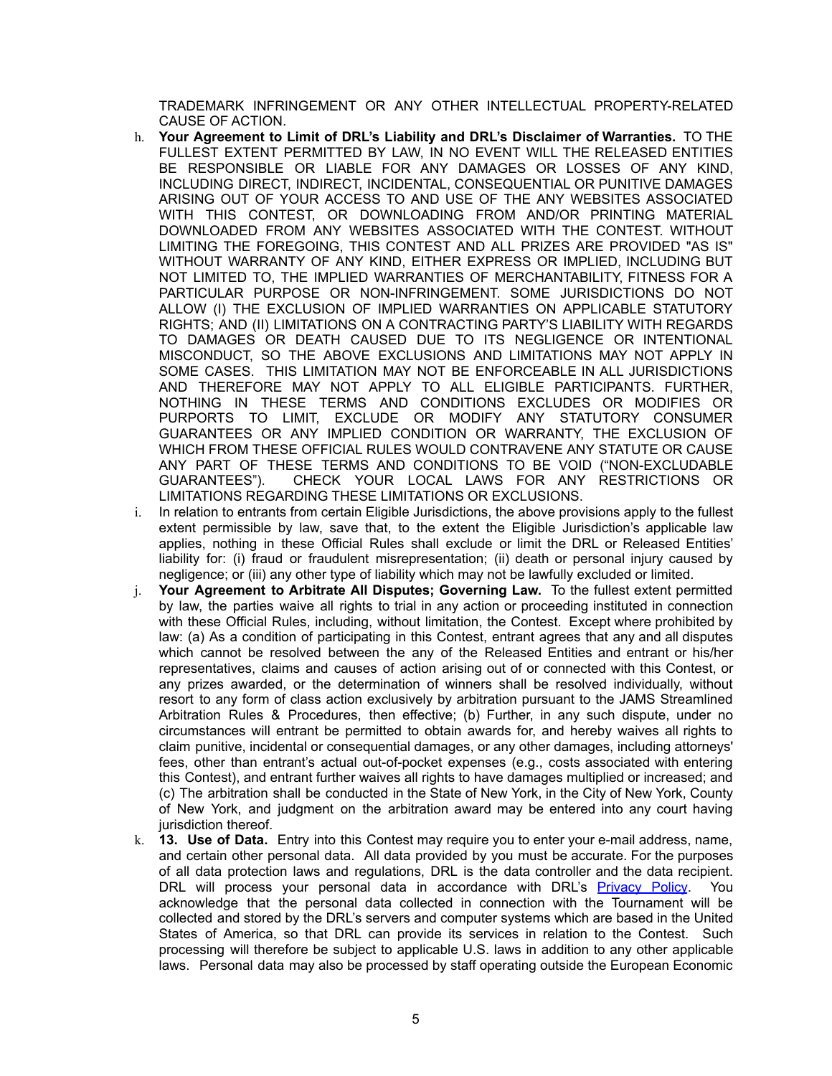TRADEMARK INFRINGEMENT OR ANY OTHER INTELLECTUAL PROPERTY-RELATED CAUSE OF ACTION.

- h. **Your Agreement to Limit of DRL's Liability and DRL's Disclaimer of Warranties.** TO THE FULLEST EXTENT PERMITTED BY LAW, IN NO EVENT WILL THE RELEASED ENTITIES BE RESPONSIBLE OR LIABLE FOR ANY DAMAGES OR LOSSES OF ANY KIND, INCLUDING DIRECT, INDIRECT, INCIDENTAL, CONSEQUENTIAL OR PUNITIVE DAMAGES ARISING OUT OF YOUR ACCESS TO AND USE OF THE ANY WEBSITES ASSOCIATED WITH THIS CONTEST, OR DOWNLOADING FROM AND/OR PRINTING MATERIAL DOWNLOADED FROM ANY WEBSITES ASSOCIATED WITH THE CONTEST. WITHOUT LIMITING THE FOREGOING, THIS CONTEST AND ALL PRIZES ARE PROVIDED "AS IS" WITHOUT WARRANTY OF ANY KIND, EITHER EXPRESS OR IMPLIED, INCLUDING BUT NOT LIMITED TO, THE IMPLIED WARRANTIES OF MERCHANTABILITY, FITNESS FOR A PARTICULAR PURPOSE OR NON-INFRINGEMENT. SOME JURISDICTIONS DO NOT ALLOW (I) THE EXCLUSION OF IMPLIED WARRANTIES ON APPLICABLE STATUTORY RIGHTS; AND (II) LIMITATIONS ON A CONTRACTING PARTY'S LIABILITY WITH REGARDS TO DAMAGES OR DEATH CAUSED DUE TO ITS NEGLIGENCE OR INTENTIONAL MISCONDUCT, SO THE ABOVE EXCLUSIONS AND LIMITATIONS MAY NOT APPLY IN SOME CASES. THIS LIMITATION MAY NOT BE ENFORCEABLE IN ALL JURISDICTIONS AND THEREFORE MAY NOT APPLY TO ALL ELIGIBLE PARTICIPANTS. FURTHER, NOTHING IN THESE TERMS AND CONDITIONS EXCLUDES OR MODIFIES OR PURPORTS TO LIMIT, EXCLUDE OR MODIFY ANY STATUTORY CONSUMER GUARANTEES OR ANY IMPLIED CONDITION OR WARRANTY, THE EXCLUSION OF WHICH FROM THESE OFFICIAL RULES WOULD CONTRAVENE ANY STATUTE OR CAUSE ANY PART OF THESE TERMS AND CONDITIONS TO BE VOID ("NON-EXCLUDABLE GUARANTEES"). CHECK YOUR LOCAL LAWS FOR ANY RESTRICTIONS OR LIMITATIONS REGARDING THESE LIMITATIONS OR EXCLUSIONS.
- i. In relation to entrants from certain Eligible Jurisdictions, the above provisions apply to the fullest extent permissible by law, save that, to the extent the Eligible Jurisdiction's applicable law applies, nothing in these Official Rules shall exclude or limit the DRL or Released Entities' liability for: (i) fraud or fraudulent misrepresentation; (ii) death or personal injury caused by negligence; or (iii) any other type of liability which may not be lawfully excluded or limited.
- j. **Your Agreement to Arbitrate All Disputes; Governing Law.** To the fullest extent permitted by law, the parties waive all rights to trial in any action or proceeding instituted in connection with these Official Rules, including, without limitation, the Contest. Except where prohibited by law: (a) As a condition of participating in this Contest, entrant agrees that any and all disputes which cannot be resolved between the any of the Released Entities and entrant or his/her representatives, claims and causes of action arising out of or connected with this Contest, or any prizes awarded, or the determination of winners shall be resolved individually, without resort to any form of class action exclusively by arbitration pursuant to the JAMS Streamlined Arbitration Rules & Procedures, then effective; (b) Further, in any such dispute, under no circumstances will entrant be permitted to obtain awards for, and hereby waives all rights to claim punitive, incidental or consequential damages, or any other damages, including attorneys' fees, other than entrant's actual out-of-pocket expenses (e.g., costs associated with entering this Contest), and entrant further waives all rights to have damages multiplied or increased; and (c) The arbitration shall be conducted in the State of New York, in the City of New York, County of New York, and judgment on the arbitration award may be entered into any court having jurisdiction thereof.
- k. **13. Use of Data.** Entry into this Contest may require you to enter your e-mail address, name, and certain other personal data. All data provided by you must be accurate. For the purposes of all data protection laws and regulations, DRL is the data controller and the data recipient. DRL will process your personal data in accordance with DRL's [Privacy](https://thedroneracingleague.com/privacy-policy/) Policy. You acknowledge that the personal data collected in connection with the Tournament will be collected and stored by the DRL's servers and computer systems which are based in the United States of America, so that DRL can provide its services in relation to the Contest. Such processing will therefore be subject to applicable U.S. laws in addition to any other applicable laws. Personal data may also be processed by staff operating outside the European Economic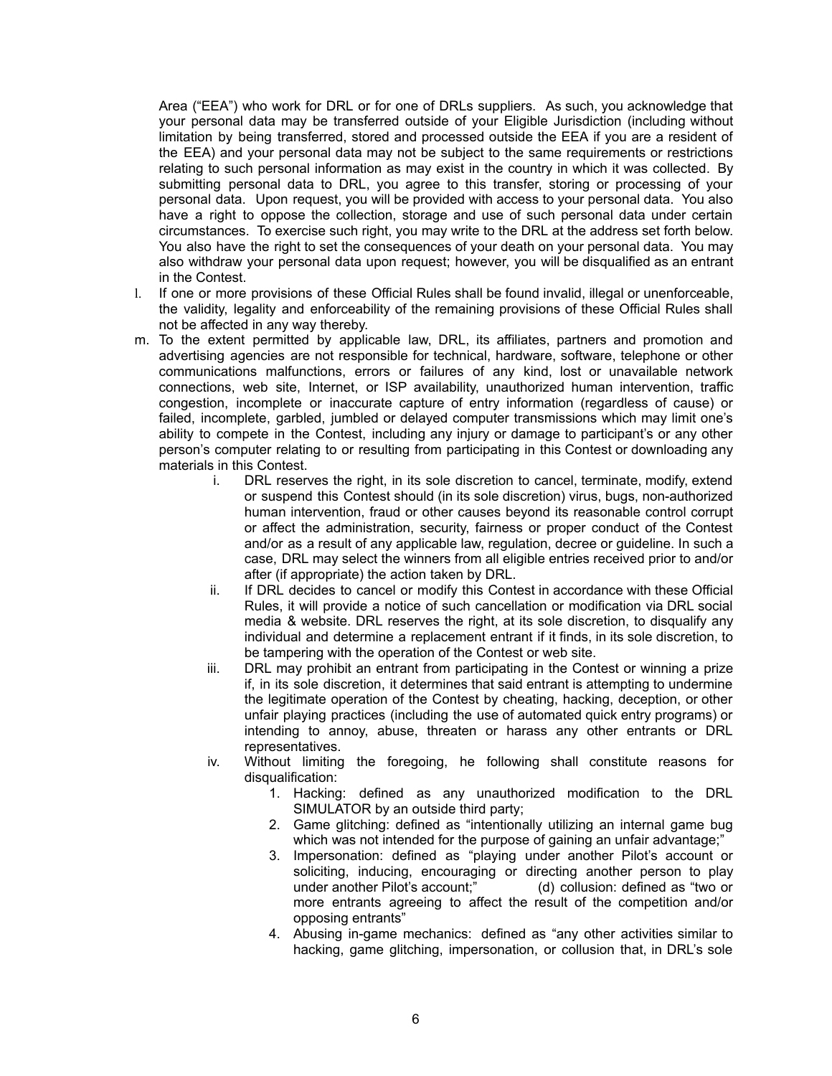Area ("EEA") who work for DRL or for one of DRLs suppliers. As such, you acknowledge that your personal data may be transferred outside of your Eligible Jurisdiction (including without limitation by being transferred, stored and processed outside the EEA if you are a resident of the EEA) and your personal data may not be subject to the same requirements or restrictions relating to such personal information as may exist in the country in which it was collected. By submitting personal data to DRL, you agree to this transfer, storing or processing of your personal data. Upon request, you will be provided with access to your personal data. You also have a right to oppose the collection, storage and use of such personal data under certain circumstances. To exercise such right, you may write to the DRL at the address set forth below. You also have the right to set the consequences of your death on your personal data. You may also withdraw your personal data upon request; however, you will be disqualified as an entrant in the Contest.

- l. If one or more provisions of these Official Rules shall be found invalid, illegal or unenforceable, the validity, legality and enforceability of the remaining provisions of these Official Rules shall not be affected in any way thereby.
- m. To the extent permitted by applicable law, DRL, its affiliates, partners and promotion and advertising agencies are not responsible for technical, hardware, software, telephone or other communications malfunctions, errors or failures of any kind, lost or unavailable network connections, web site, Internet, or ISP availability, unauthorized human intervention, traffic congestion, incomplete or inaccurate capture of entry information (regardless of cause) or failed, incomplete, garbled, jumbled or delayed computer transmissions which may limit one's ability to compete in the Contest, including any injury or damage to participant's or any other person's computer relating to or resulting from participating in this Contest or downloading any materials in this Contest.
	- i. DRL reserves the right, in its sole discretion to cancel, terminate, modify, extend or suspend this Contest should (in its sole discretion) virus, bugs, non-authorized human intervention, fraud or other causes beyond its reasonable control corrupt or affect the administration, security, fairness or proper conduct of the Contest and/or as a result of any applicable law, regulation, decree or guideline. In such a case, DRL may select the winners from all eligible entries received prior to and/or after (if appropriate) the action taken by DRL.
	- ii. If DRL decides to cancel or modify this Contest in accordance with these Official Rules, it will provide a notice of such cancellation or modification via DRL social media & website. DRL reserves the right, at its sole discretion, to disqualify any individual and determine a replacement entrant if it finds, in its sole discretion, to be tampering with the operation of the Contest or web site.
	- iii. DRL may prohibit an entrant from participating in the Contest or winning a prize if, in its sole discretion, it determines that said entrant is attempting to undermine the legitimate operation of the Contest by cheating, hacking, deception, or other unfair playing practices (including the use of automated quick entry programs) or intending to annoy, abuse, threaten or harass any other entrants or DRL representatives.
	- iv. Without limiting the foregoing, he following shall constitute reasons for disqualification:
		- 1. Hacking: defined as any unauthorized modification to the DRL SIMULATOR by an outside third party;
		- 2. Game glitching: defined as "intentionally utilizing an internal game bug which was not intended for the purpose of gaining an unfair advantage;"
		- 3. Impersonation: defined as "playing under another Pilot's account or soliciting, inducing, encouraging or directing another person to play under another Pilot's account;" (d) collusion: defined as "two or more entrants agreeing to affect the result of the competition and/or opposing entrants"
		- 4. Abusing in-game mechanics: defined as "any other activities similar to hacking, game glitching, impersonation, or collusion that, in DRL's sole